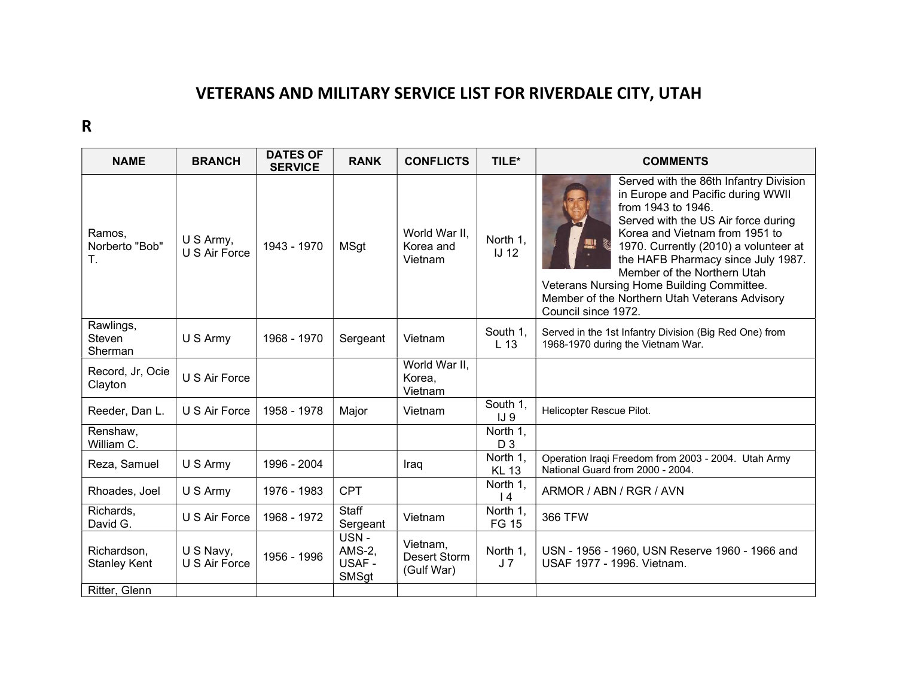## VETERANS AND MILITARY SERVICE LIST FOR RIVERDALE CITY, UTAH

R

| <b>NAME</b>                        | <b>BRANCH</b>               | <b>DATES OF</b><br><b>SERVICE</b> | <b>RANK</b>                                     | <b>CONFLICTS</b>                       | TILE*                       | <b>COMMENTS</b>                                                                                                                                                                                                                                                                                                                                                                                               |
|------------------------------------|-----------------------------|-----------------------------------|-------------------------------------------------|----------------------------------------|-----------------------------|---------------------------------------------------------------------------------------------------------------------------------------------------------------------------------------------------------------------------------------------------------------------------------------------------------------------------------------------------------------------------------------------------------------|
| Ramos,<br>Norberto "Bob"<br>Τ.     | U S Army,<br>U.S. Air Force | 1943 - 1970                       | <b>MSgt</b>                                     | World War II.<br>Korea and<br>Vietnam  | North 1.<br><b>IJ 12</b>    | Served with the 86th Infantry Division<br>in Europe and Pacific during WWII<br>from 1943 to 1946.<br>Served with the US Air force during<br>Korea and Vietnam from 1951 to<br>1970. Currently (2010) a volunteer at<br>the HAFB Pharmacy since July 1987.<br>Member of the Northern Utah<br>Veterans Nursing Home Building Committee.<br>Member of the Northern Utah Veterans Advisory<br>Council since 1972. |
| Rawlings,<br>Steven<br>Sherman     | U S Army                    | 1968 - 1970                       | Sergeant                                        | Vietnam                                | South 1,<br>L <sub>13</sub> | Served in the 1st Infantry Division (Big Red One) from<br>1968-1970 during the Vietnam War.                                                                                                                                                                                                                                                                                                                   |
| Record, Jr, Ocie<br>Clayton        | U S Air Force               |                                   |                                                 | World War II,<br>Korea,<br>Vietnam     |                             |                                                                                                                                                                                                                                                                                                                                                                                                               |
| Reeder, Dan L.                     | U S Air Force               | 1958 - 1978                       | Major                                           | Vietnam                                | South 1,<br>IJ9             | Helicopter Rescue Pilot.                                                                                                                                                                                                                                                                                                                                                                                      |
| Renshaw,<br>William C.             |                             |                                   |                                                 |                                        | North 1,<br>D <sub>3</sub>  |                                                                                                                                                                                                                                                                                                                                                                                                               |
| Reza, Samuel                       | U S Army                    | 1996 - 2004                       |                                                 | Iraq                                   | North 1,<br><b>KL 13</b>    | Operation Iraqi Freedom from 2003 - 2004. Utah Army<br>National Guard from 2000 - 2004.                                                                                                                                                                                                                                                                                                                       |
| Rhoades, Joel                      | U S Army                    | 1976 - 1983                       | <b>CPT</b>                                      |                                        | North 1,<br> 4              | ARMOR / ABN / RGR / AVN                                                                                                                                                                                                                                                                                                                                                                                       |
| Richards,<br>David G.              | U S Air Force               | 1968 - 1972                       | <b>Staff</b><br>Sergeant                        | Vietnam                                | North 1,<br><b>FG 15</b>    | <b>366 TFW</b>                                                                                                                                                                                                                                                                                                                                                                                                |
| Richardson,<br><b>Stanley Kent</b> | U S Navy,<br>U S Air Force  | 1956 - 1996                       | USN-<br><b>AMS-2.</b><br>USAF -<br><b>SMSgt</b> | Vietnam,<br>Desert Storm<br>(Gulf War) | North 1.<br>J <sub>7</sub>  | USN - 1956 - 1960, USN Reserve 1960 - 1966 and<br>USAF 1977 - 1996. Vietnam.                                                                                                                                                                                                                                                                                                                                  |
| Ritter, Glenn                      |                             |                                   |                                                 |                                        |                             |                                                                                                                                                                                                                                                                                                                                                                                                               |